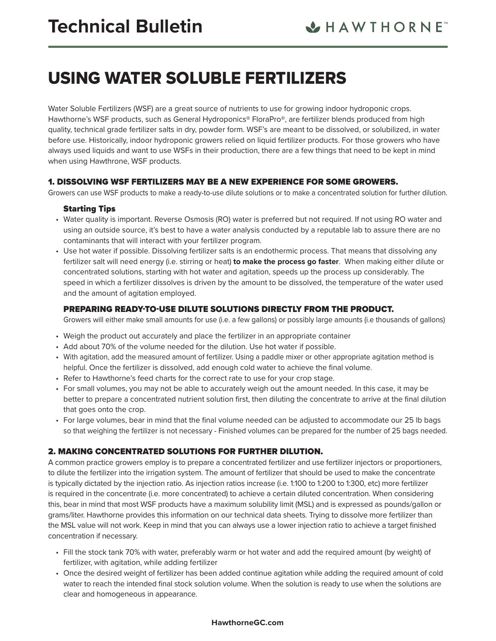# USING WATER SOLUBLE FERTILIZERS

Water Soluble Fertilizers (WSF) are a great source of nutrients to use for growing indoor hydroponic crops. Hawthorne's WSF products, such as General Hydroponics® FloraPro®, are fertilizer blends produced from high quality, technical grade fertilizer salts in dry, powder form. WSF's are meant to be dissolved, or solubilized, in water before use. Historically, indoor hydroponic growers relied on liquid fertilizer products. For those growers who have always used liquids and want to use WSFs in their production, there are a few things that need to be kept in mind when using Hawthrone, WSF products.

## 1. DISSOLVING WSF FERTILIZERS MAY BE A NEW EXPERIENCE FOR SOME GROWERS.

Growers can use WSF products to make a ready-to-use dilute solutions or to make a concentrated solution for further dilution.

## Starting Tips

- Water quality is important. Reverse Osmosis (RO) water is preferred but not required. If not using RO water and using an outside source, it's best to have a water analysis conducted by a reputable lab to assure there are no contaminants that will interact with your fertilizer program.
- Use hot water if possible. Dissolving fertilizer salts is an endothermic process. That means that dissolving any fertilizer salt will need energy (i.e. stirring or heat) **to make the process go faster**. When making either dilute or concentrated solutions, starting with hot water and agitation, speeds up the process up considerably. The speed in which a fertilizer dissolves is driven by the amount to be dissolved, the temperature of the water used and the amount of agitation employed.

## PREPARING READY-TO-USE DILUTE SOLUTIONS DIRECTLY FROM THE PRODUCT.

Growers will either make small amounts for use (i.e. a few gallons) or possibly large amounts (i.e thousands of gallons)

- Weigh the product out accurately and place the fertilizer in an appropriate container
- Add about 70% of the volume needed for the dilution. Use hot water if possible.
- With agitation, add the measured amount of fertilizer. Using a paddle mixer or other appropriate agitation method is helpful. Once the fertilizer is dissolved, add enough cold water to achieve the final volume.
- Refer to Hawthorne's feed charts for the correct rate to use for your crop stage.
- For small volumes, you may not be able to accurately weigh out the amount needed. In this case, it may be better to prepare a concentrated nutrient solution first, then diluting the concentrate to arrive at the final dilution that goes onto the crop.
- For large volumes, bear in mind that the final volume needed can be adjusted to accommodate our 25 lb bags so that weighing the fertilizer is not necessary - Finished volumes can be prepared for the number of 25 bags needed.

# 2. MAKING CONCENTRATED SOLUTIONS FOR FURTHER DILUTION.

A common practice growers employ is to prepare a concentrated fertilizer and use fertilizer injectors or proportioners, to dilute the fertilizer into the irrigation system. The amount of fertilizer that should be used to make the concentrate is typically dictated by the injection ratio. As injection ratios increase (i.e. 1:100 to 1:200 to 1:300, etc) more fertilizer is required in the concentrate (i.e. more concentrated) to achieve a certain diluted concentration. When considering this, bear in mind that most WSF products have a maximum solubility limit (MSL) and is expressed as pounds/gallon or grams/liter. Hawthorne provides this information on our technical data sheets. Trying to dissolve more fertilizer than the MSL value will not work. Keep in mind that you can always use a lower injection ratio to achieve a target finished concentration if necessary.

- Fill the stock tank 70% with water, preferably warm or hot water and add the required amount (by weight) of fertilizer, with agitation, while adding fertilizer
- Once the desired weight of fertilizer has been added continue agitation while adding the required amount of cold water to reach the intended final stock solution volume. When the solution is ready to use when the solutions are clear and homogeneous in appearance.

#### **HawthorneGC.com**